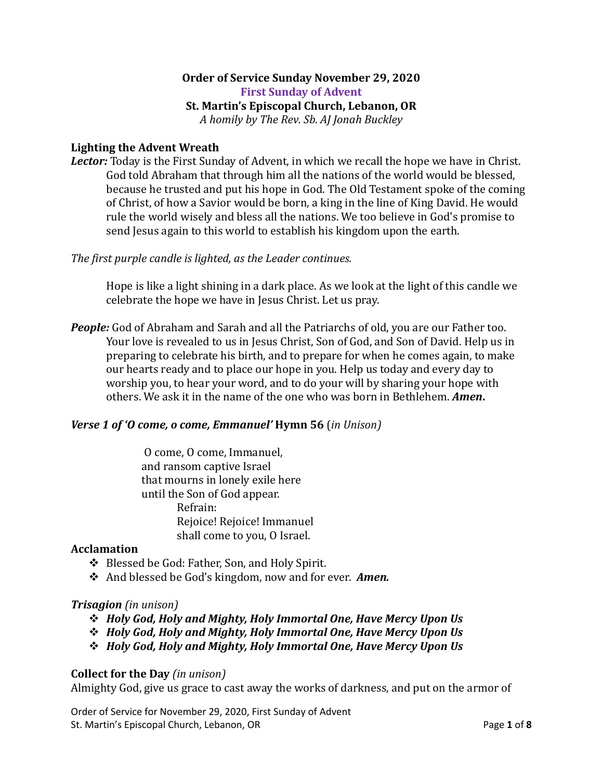## **Order of Service Sunday November 29, 2020 First Sunday of Advent St. Martin's Episcopal Church, Lebanon, OR** *A homily by The Rev. Sb. AJ Jonah Buckley*

## **Lighting the Advent Wreath**

**Lector:** Today is the First Sunday of Advent, in which we recall the hope we have in Christ. God told Abraham that through him all the nations of the world would be blessed, because he trusted and put his hope in God. The Old Testament spoke of the coming of Christ, of how a Savior would be born, a king in the line of King David. He would rule the world wisely and bless all the nations. We too believe in God's promise to send Jesus again to this world to establish his kingdom upon the earth.

## *The first purple candle is lighted, as the Leader continues.*

Hope is like a light shining in a dark place. As we look at the light of this candle we celebrate the hope we have in Jesus Christ. Let us pray.

*People:* God of Abraham and Sarah and all the Patriarchs of old, you are our Father too. Your love is revealed to us in Jesus Christ, Son of God, and Son of David. Help us in preparing to celebrate his birth, and to prepare for when he comes again, to make our hearts ready and to place our hope in you. Help us today and every day to worship you, to hear your word, and to do your will by sharing your hope with others. We ask it in the name of the one who was born in Bethlehem. *Amen***.**

## *Verse 1 of 'O come, o come, Emmanuel'* **Hymn 56** (*in Unison)*

O come, O come, Immanuel, and ransom captive Israel that mourns in lonely exile here until the Son of God appear. Refrain: Rejoice! Rejoice! Immanuel shall come to you, O Israel.

## **Acclamation**

- ❖ Blessed be God: Father, Son, and Holy Spirit.
- ❖ And blessed be God's kingdom, now and for ever. *Amen.*

## *Trisagion (in unison)*

- ❖ *Holy God, Holy and Mighty, Holy Immortal One, Have Mercy Upon Us*
- ❖ *Holy God, Holy and Mighty, Holy Immortal One, Have Mercy Upon Us*
- ❖ *Holy God, Holy and Mighty, Holy Immortal One, Have Mercy Upon Us*

## **Collect for the Day** *(in unison)*

Almighty God, give us grace to cast away the works of darkness, and put on the armor of

Order of Service for November 29, 2020, First Sunday of Advent St. Martin's Episcopal Church, Lebanon, OR **Page 1** of **8 Page 1** of **8**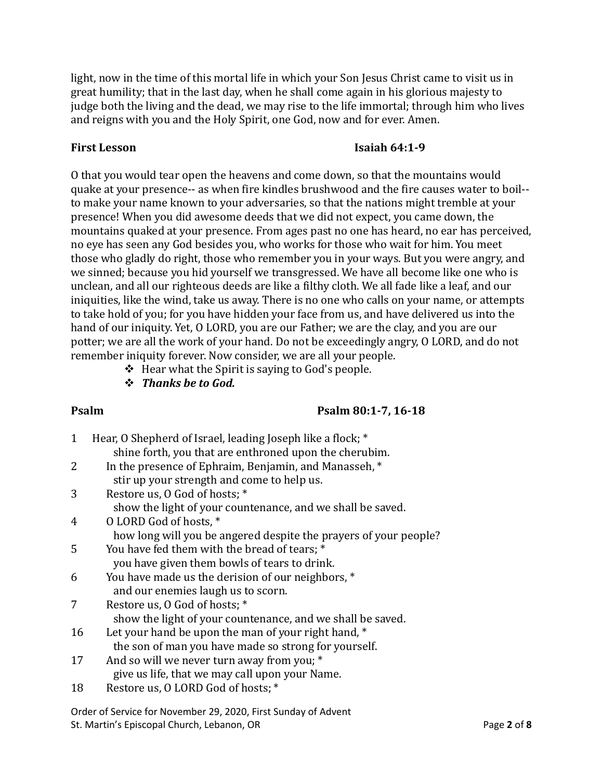light, now in the time of this mortal life in which your Son Jesus Christ came to visit us in great humility; that in the last day, when he shall come again in his glorious majesty to judge both the living and the dead, we may rise to the life immortal; through him who lives and reigns with you and the Holy Spirit, one God, now and for ever. Amen.

## **First Lesson Isaiah 64:1-9**

O that you would tear open the heavens and come down, so that the mountains would quake at your presence-- as when fire kindles brushwood and the fire causes water to boil- to make your name known to your adversaries, so that the nations might tremble at your presence! When you did awesome deeds that we did not expect, you came down, the mountains quaked at your presence. From ages past no one has heard, no ear has perceived, no eye has seen any God besides you, who works for those who wait for him. You meet those who gladly do right, those who remember you in your ways. But you were angry, and we sinned; because you hid yourself we transgressed. We have all become like one who is unclean, and all our righteous deeds are like a filthy cloth. We all fade like a leaf, and our iniquities, like the wind, take us away. There is no one who calls on your name, or attempts to take hold of you; for you have hidden your face from us, and have delivered us into the hand of our iniquity. Yet, O LORD, you are our Father; we are the clay, and you are our potter; we are all the work of your hand. Do not be exceedingly angry, O LORD, and do not remember iniquity forever. Now consider, we are all your people.

- ❖ Hear what the Spirit is saying to God's people.
- ❖ *Thanks be to God.*

# **Psalm Psalm 80:1-7, 16-18**

- 1 Hear, O Shepherd of Israel, leading Joseph like a flock; \* shine forth, you that are enthroned upon the cherubim.
- 2 In the presence of Ephraim, Benjamin, and Manasseh, \* stir up your strength and come to help us.
- 3 Restore us, O God of hosts; \* show the light of your countenance, and we shall be saved.
- 4 O LORD God of hosts, \* how long will you be angered despite the prayers of your people?
- 5 You have fed them with the bread of tears; \* you have given them bowls of tears to drink.
- 6 You have made us the derision of our neighbors, \* and our enemies laugh us to scorn.
- 7 Restore us, O God of hosts; \* show the light of your countenance, and we shall be saved.
- 16 Let your hand be upon the man of your right hand,  $*$ the son of man you have made so strong for yourself.
- 17 And so will we never turn away from you; \* give us life, that we may call upon your Name.
- 18 Restore us, 0 LORD God of hosts; \*

Order of Service for November 29, 2020, First Sunday of Advent St. Martin's Episcopal Church, Lebanon, OR **Page 2** of **8 Page 2** of **8**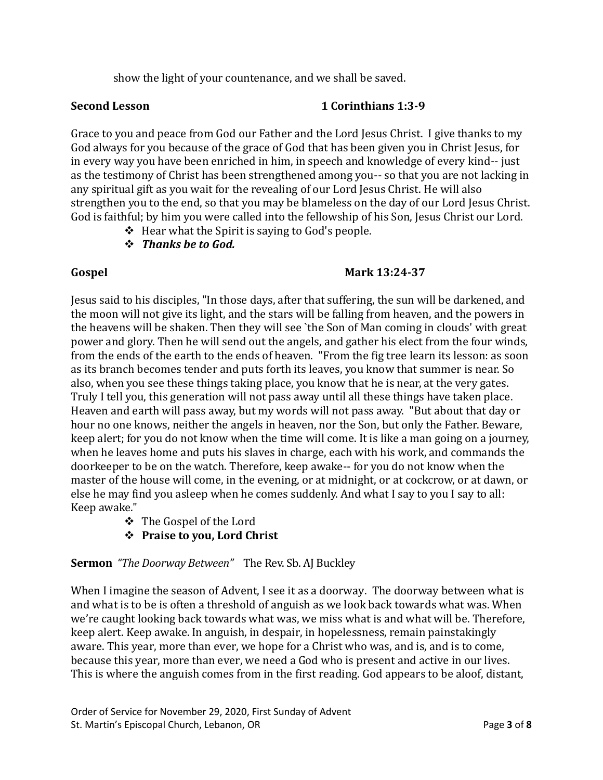show the light of your countenance, and we shall be saved.

## **Second Lesson 1 Corinthians 1:3-9**

Grace to you and peace from God our Father and the Lord Jesus Christ. I give thanks to my God always for you because of the grace of God that has been given you in Christ Jesus, for in every way you have been enriched in him, in speech and knowledge of every kind-- just as the testimony of Christ has been strengthened among you-- so that you are not lacking in any spiritual gift as you wait for the revealing of our Lord Jesus Christ. He will also strengthen you to the end, so that you may be blameless on the day of our Lord Jesus Christ. God is faithful; by him you were called into the fellowship of his Son, Jesus Christ our Lord.

- ❖ Hear what the Spirit is saying to God's people.
- ❖ *Thanks be to God.*

# Gospel **Mark 13:24-37**

Jesus said to his disciples, "In those days, after that suffering, the sun will be darkened, and the moon will not give its light, and the stars will be falling from heaven, and the powers in the heavens will be shaken. Then they will see `the Son of Man coming in clouds' with great power and glory. Then he will send out the angels, and gather his elect from the four winds, from the ends of the earth to the ends of heaven. "From the fig tree learn its lesson: as soon as its branch becomes tender and puts forth its leaves, you know that summer is near. So also, when you see these things taking place, you know that he is near, at the very gates. Truly I tell you, this generation will not pass away until all these things have taken place. Heaven and earth will pass away, but my words will not pass away. "But about that day or hour no one knows, neither the angels in heaven, nor the Son, but only the Father. Beware, keep alert; for you do not know when the time will come. It is like a man going on a journey, when he leaves home and puts his slaves in charge, each with his work, and commands the doorkeeper to be on the watch. Therefore, keep awake-- for you do not know when the master of the house will come, in the evening, or at midnight, or at cockcrow, or at dawn, or else he may find you asleep when he comes suddenly. And what I say to you I say to all: Keep awake."

- ❖ The Gospel of the Lord
- ❖ **Praise to you, Lord Christ**

**Sermon** *"The Doorway Between"* The Rev. Sb. AJ Buckley

When I imagine the season of Advent, I see it as a doorway. The doorway between what is and what is to be is often a threshold of anguish as we look back towards what was. When we're caught looking back towards what was, we miss what is and what will be. Therefore, keep alert. Keep awake. In anguish, in despair, in hopelessness, remain painstakingly aware. This year, more than ever, we hope for a Christ who was, and is, and is to come, because this year, more than ever, we need a God who is present and active in our lives. This is where the anguish comes from in the first reading. God appears to be aloof, distant,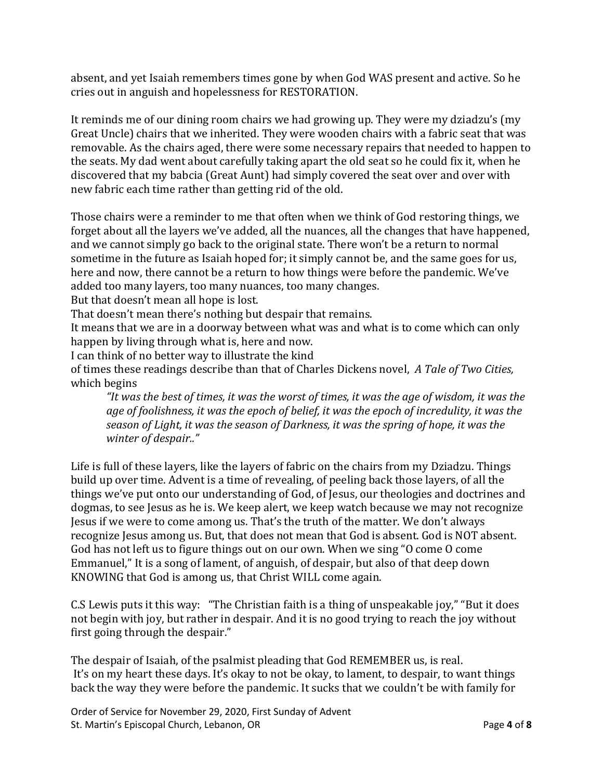absent, and yet Isaiah remembers times gone by when God WAS present and active. So he cries out in anguish and hopelessness for RESTORATION.

It reminds me of our dining room chairs we had growing up. They were my dziadzu's (my Great Uncle) chairs that we inherited. They were wooden chairs with a fabric seat that was removable. As the chairs aged, there were some necessary repairs that needed to happen to the seats. My dad went about carefully taking apart the old seat so he could fix it, when he discovered that my babcia (Great Aunt) had simply covered the seat over and over with new fabric each time rather than getting rid of the old.

Those chairs were a reminder to me that often when we think of God restoring things, we forget about all the layers we've added, all the nuances, all the changes that have happened, and we cannot simply go back to the original state. There won't be a return to normal sometime in the future as Isaiah hoped for; it simply cannot be, and the same goes for us, here and now, there cannot be a return to how things were before the pandemic. We've added too many layers, too many nuances, too many changes.

But that doesn't mean all hope is lost.

That doesn't mean there's nothing but despair that remains.

It means that we are in a doorway between what was and what is to come which can only happen by living through what is, here and now.

I can think of no better way to illustrate the kind

of times these readings describe than that of Charles Dickens novel, *A Tale of Two Cities,* which begins

*"It was the best of times, it was the worst of times, it was the age of wisdom, it was the age of foolishness, it was the epoch of belief, it was the epoch of incredulity, it was the season of Light, it was the season of Darkness, it was the spring of hope, it was the winter of despair.."*

Life is full of these layers, like the layers of fabric on the chairs from my Dziadzu. Things build up over time. Advent is a time of revealing, of peeling back those layers, of all the things we've put onto our understanding of God, of Jesus, our theologies and doctrines and dogmas, to see Jesus as he is. We keep alert, we keep watch because we may not recognize Jesus if we were to come among us. That's the truth of the matter. We don't always recognize Jesus among us. But, that does not mean that God is absent. God is NOT absent. God has not left us to figure things out on our own. When we sing "O come O come Emmanuel," It is a song of lament, of anguish, of despair, but also of that deep down KNOWING that God is among us, that Christ WILL come again.

C.S Lewis puts it this way: "The Christian faith is a thing of unspeakable joy," "But it does not begin with joy, but rather in despair. And it is no good trying to reach the joy without first going through the despair."

The despair of Isaiah, of the psalmist pleading that God REMEMBER us, is real. It's on my heart these days. It's okay to not be okay, to lament, to despair, to want things back the way they were before the pandemic. It sucks that we couldn't be with family for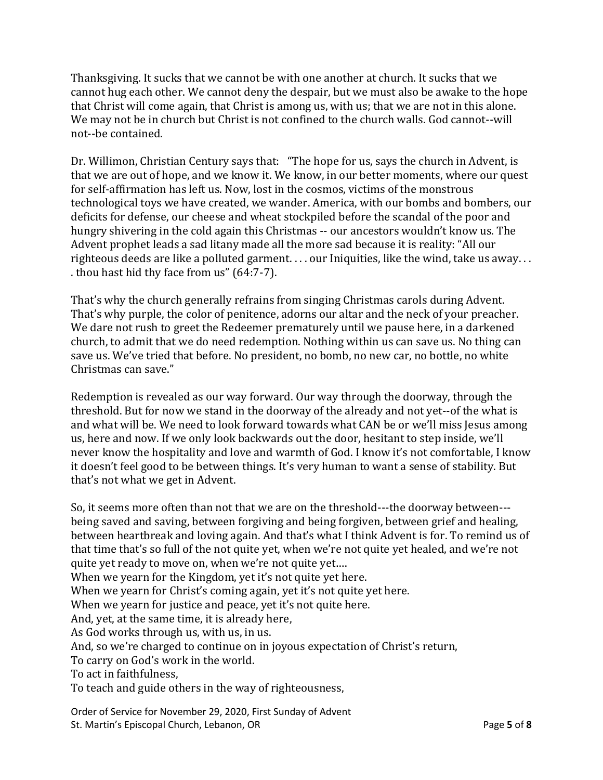Thanksgiving. It sucks that we cannot be with one another at church. It sucks that we cannot hug each other. We cannot deny the despair, but we must also be awake to the hope that Christ will come again, that Christ is among us, with us; that we are not in this alone. We may not be in church but Christ is not confined to the church walls. God cannot--will not--be contained.

Dr. Willimon, Christian Century says that: "The hope for us, says the church in Advent, is that we are out of hope, and we know it. We know, in our better moments, where our quest for self-affirmation has left us. Now, lost in the cosmos, victims of the monstrous technological toys we have created, we wander. America, with our bombs and bombers, our deficits for defense, our cheese and wheat stockpiled before the scandal of the poor and hungry shivering in the cold again this Christmas -- our ancestors wouldn't know us. The Advent prophet leads a sad litany made all the more sad because it is reality: "All our righteous deeds are like a polluted garment. . . . our Iniquities, like the wind, take us away. . . . thou hast hid thy face from us" (64:7-7).

That's why the church generally refrains from singing Christmas carols during Advent. That's why purple, the color of penitence, adorns our altar and the neck of your preacher. We dare not rush to greet the Redeemer prematurely until we pause here, in a darkened church, to admit that we do need redemption. Nothing within us can save us. No thing can save us. We've tried that before. No president, no bomb, no new car, no bottle, no white Christmas can save."

Redemption is revealed as our way forward. Our way through the doorway, through the threshold. But for now we stand in the doorway of the already and not yet--of the what is and what will be. We need to look forward towards what CAN be or we'll miss Jesus among us, here and now. If we only look backwards out the door, hesitant to step inside, we'll never know the hospitality and love and warmth of God. I know it's not comfortable, I know it doesn't feel good to be between things. It's very human to want a sense of stability. But that's not what we get in Advent.

So, it seems more often than not that we are on the threshold---the doorway between-- being saved and saving, between forgiving and being forgiven, between grief and healing, between heartbreak and loving again. And that's what I think Advent is for. To remind us of that time that's so full of the not quite yet, when we're not quite yet healed, and we're not quite yet ready to move on, when we're not quite yet…. When we yearn for the Kingdom, yet it's not quite yet here. When we yearn for Christ's coming again, yet it's not quite yet here. When we yearn for justice and peace, yet it's not quite here. And, yet, at the same time, it is already here, As God works through us, with us, in us. And, so we're charged to continue on in joyous expectation of Christ's return, To carry on God's work in the world. To act in faithfulness, To teach and guide others in the way of righteousness,

Order of Service for November 29, 2020, First Sunday of Advent St. Martin's Episcopal Church, Lebanon, OR **Page 5** of **8 Page 5** of **8**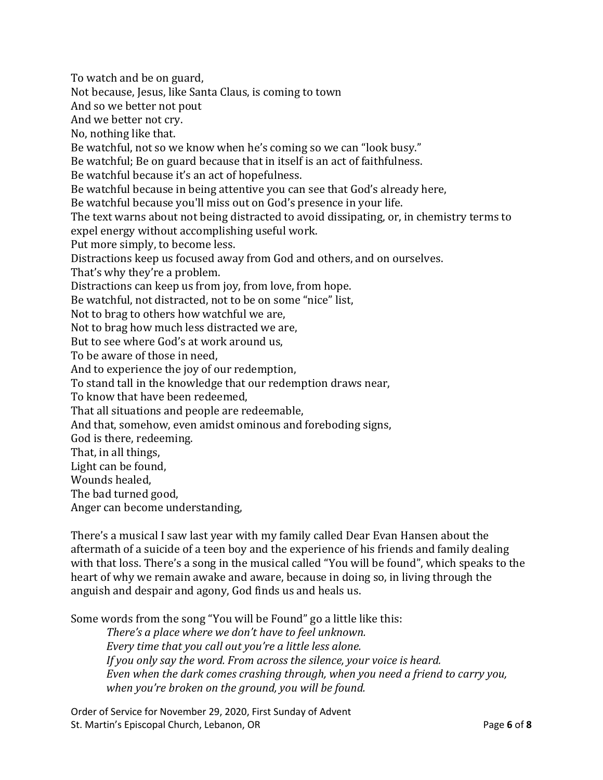To watch and be on guard, Not because, Jesus, like Santa Claus, is coming to town And so we better not pout And we better not cry. No, nothing like that. Be watchful, not so we know when he's coming so we can "look busy." Be watchful; Be on guard because that in itself is an act of faithfulness. Be watchful because it's an act of hopefulness. Be watchful because in being attentive you can see that God's already here, Be watchful because you'll miss out on God's presence in your life. The text warns about not being distracted to avoid dissipating, or, in chemistry terms to expel energy without accomplishing useful work. Put more simply, to become less. Distractions keep us focused away from God and others, and on ourselves. That's why they're a problem. Distractions can keep us from joy, from love, from hope. Be watchful, not distracted, not to be on some "nice" list, Not to brag to others how watchful we are, Not to brag how much less distracted we are, But to see where God's at work around us, To be aware of those in need, And to experience the joy of our redemption, To stand tall in the knowledge that our redemption draws near, To know that have been redeemed, That all situations and people are redeemable, And that, somehow, even amidst ominous and foreboding signs, God is there, redeeming. That, in all things, Light can be found, Wounds healed, The bad turned good, Anger can become understanding,

There's a musical I saw last year with my family called Dear Evan Hansen about the aftermath of a suicide of a teen boy and the experience of his friends and family dealing with that loss. There's a song in the musical called "You will be found", which speaks to the heart of why we remain awake and aware, because in doing so, in living through the anguish and despair and agony, God finds us and heals us.

Some words from the song "You will be Found" go a little like this:

*There's a place where we don't have to feel unknown. Every time that you call out you're a little less alone. If you only say the word. From across the silence, your voice is heard. Even when the dark comes crashing through, when you need a friend to carry you, when you're broken on the ground, you will be found.* 

Order of Service for November 29, 2020, First Sunday of Advent St. Martin's Episcopal Church, Lebanon, OR **Page 6** of **8 Page 6** of **8**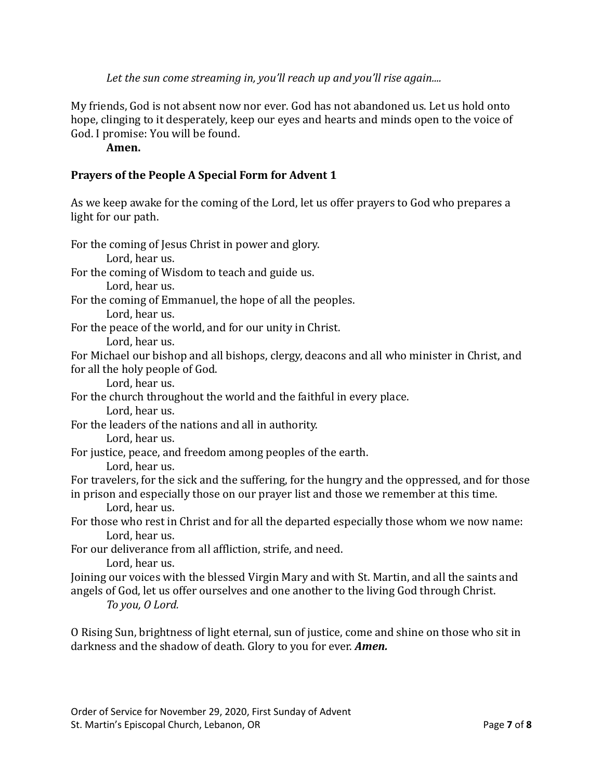*Let the sun come streaming in, you'll reach up and you'll rise again....*

My friends, God is not absent now nor ever. God has not abandoned us. Let us hold onto hope, clinging to it desperately, keep our eyes and hearts and minds open to the voice of God. I promise: You will be found.

**Amen.** 

## **Prayers of the People A Special Form for Advent 1**

As we keep awake for the coming of the Lord, let us offer prayers to God who prepares a light for our path.

| For the coming of Jesus Christ in power and glory.                                                                                                                                                        |
|-----------------------------------------------------------------------------------------------------------------------------------------------------------------------------------------------------------|
| Lord, hear us.                                                                                                                                                                                            |
| For the coming of Wisdom to teach and guide us.<br>Lord, hear us.                                                                                                                                         |
| For the coming of Emmanuel, the hope of all the peoples.<br>Lord, hear us.                                                                                                                                |
| For the peace of the world, and for our unity in Christ.<br>Lord, hear us.                                                                                                                                |
| For Michael our bishop and all bishops, clergy, deacons and all who minister in Christ, and<br>for all the holy people of God.                                                                            |
| Lord, hear us.<br>For the church throughout the world and the faithful in every place.<br>Lord, hear us.                                                                                                  |
| For the leaders of the nations and all in authority.<br>Lord, hear us.                                                                                                                                    |
| For justice, peace, and freedom among peoples of the earth.<br>Lord, hear us.                                                                                                                             |
| For travelers, for the sick and the suffering, for the hungry and the oppressed, and for those<br>in prison and especially those on our prayer list and those we remember at this time.<br>Lord, hear us. |
| For those who rest in Christ and for all the departed especially those whom we now name:<br>Lord, hear us.                                                                                                |
| For our deliverance from all affliction, strife, and need.<br>Lord, hear us.                                                                                                                              |
| Joining our voices with the blessed Virgin Mary and with St. Martin, and all the saints and<br>angels of God, let us offer ourselves and one another to the living God through Christ.<br>To you, O Lord. |
|                                                                                                                                                                                                           |

O Rising Sun, brightness of light eternal, sun of justice, come and shine on those who sit in darkness and the shadow of death. Glory to you for ever. *Amen.*